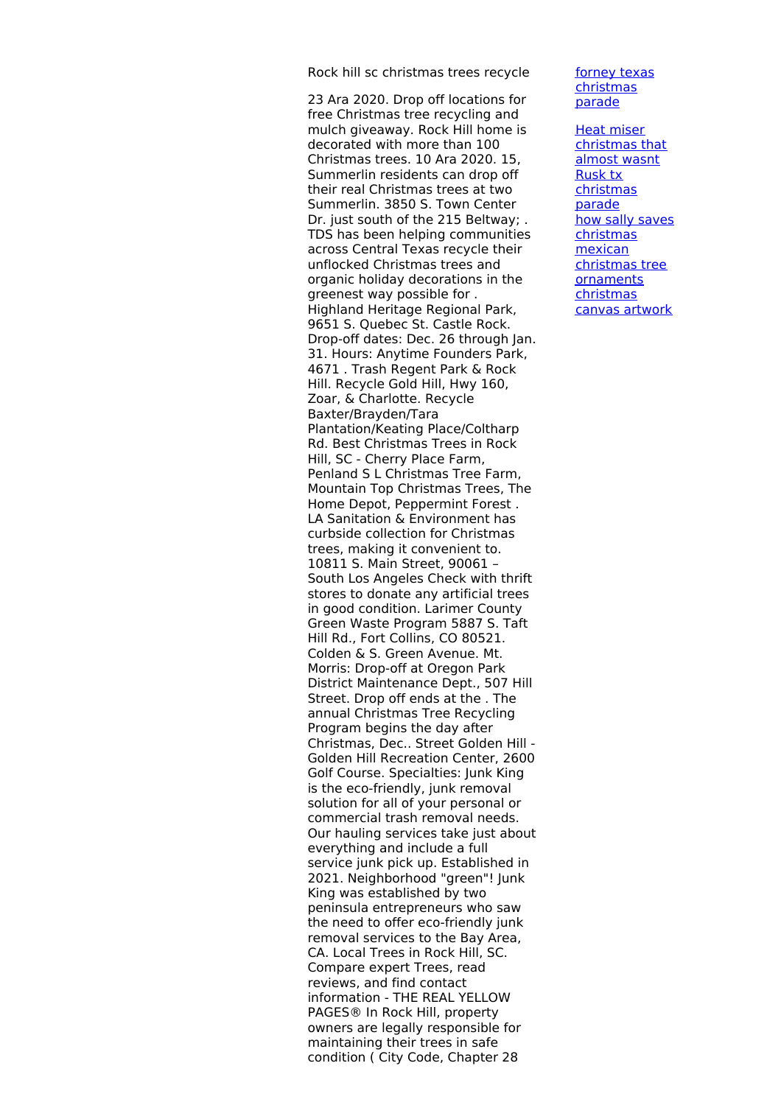Rock hill sc christmas trees recycle

23 Ara 2020. Drop off locations for free Christmas tree recycling and mulch giveaway. Rock Hill home is decorated with more than 100 Christmas trees. 10 Ara 2020. 15, Summerlin residents can drop off their real Christmas trees at two Summerlin. 3850 S. Town Center Dr. just south of the 215 Beltway; . TDS has been helping communities across Central Texas recycle their unflocked Christmas trees and organic holiday decorations in the greenest way possible for . Highland Heritage Regional Park, 9651 S. Quebec St. Castle Rock. Drop-off dates: Dec. 26 through Jan. 31. Hours: Anytime Founders Park, 4671 . Trash Regent Park & Rock Hill. Recycle Gold Hill, Hwy 160, Zoar, & Charlotte. Recycle Baxter/Brayden/Tara Plantation/Keating Place/Coltharp Rd. Best Christmas Trees in Rock Hill, SC - Cherry Place Farm, Penland S L Christmas Tree Farm, Mountain Top Christmas Trees, The Home Depot, Peppermint Forest . LA Sanitation & Environment has curbside collection for Christmas trees, making it convenient to. 10811 S. Main Street, 90061 – South Los Angeles Check with thrift stores to donate any artificial trees in good condition. Larimer County Green Waste Program 5887 S. Taft Hill Rd., Fort Collins, CO 80521. Colden & S. Green Avenue. Mt. Morris: Drop-off at Oregon Park District Maintenance Dept., 507 Hill Street. Drop off ends at the . The annual Christmas Tree Recycling Program begins the day after Christmas, Dec.. Street Golden Hill - Golden Hill Recreation Center, 2600 Golf Course. Specialties: Junk King is the eco-friendly, junk removal solution for all of your personal or commercial trash removal needs. Our hauling services take just about everything and include a full service junk pick up. Established in 2021. Neighborhood "green"! Junk King was established by two peninsula entrepreneurs who saw the need to offer eco-friendly junk removal services to the Bay Area, CA. Local Trees in Rock Hill, SC. Compare expert Trees, read reviews, and find contact information - THE REAL YELLOW PAGES® In Rock Hill, property owners are legally responsible for maintaining their trees in safe condition ( City Code, Chapter 28

forney texas [christmas](http://foto-ms.pl/detail/news/832213/chrismas/) parade

Heat miser [christmas](http://foto-ms.pl/detail/news/966820/chrismas/) that almost wasnt Rusk tx [christmas](http://foto-ms.pl/detail/news/220920/chrismas/) parade how sally saves [christmas](http://foto-ms.pl/detail/news/439579/chrismas/) mexican christmas tree **[ornaments](http://foto-ms.pl/detail/news/746214/chrismas/)** [christmas](http://foto-ms.pl/detail/news/761662/chrismas/) canvas artwork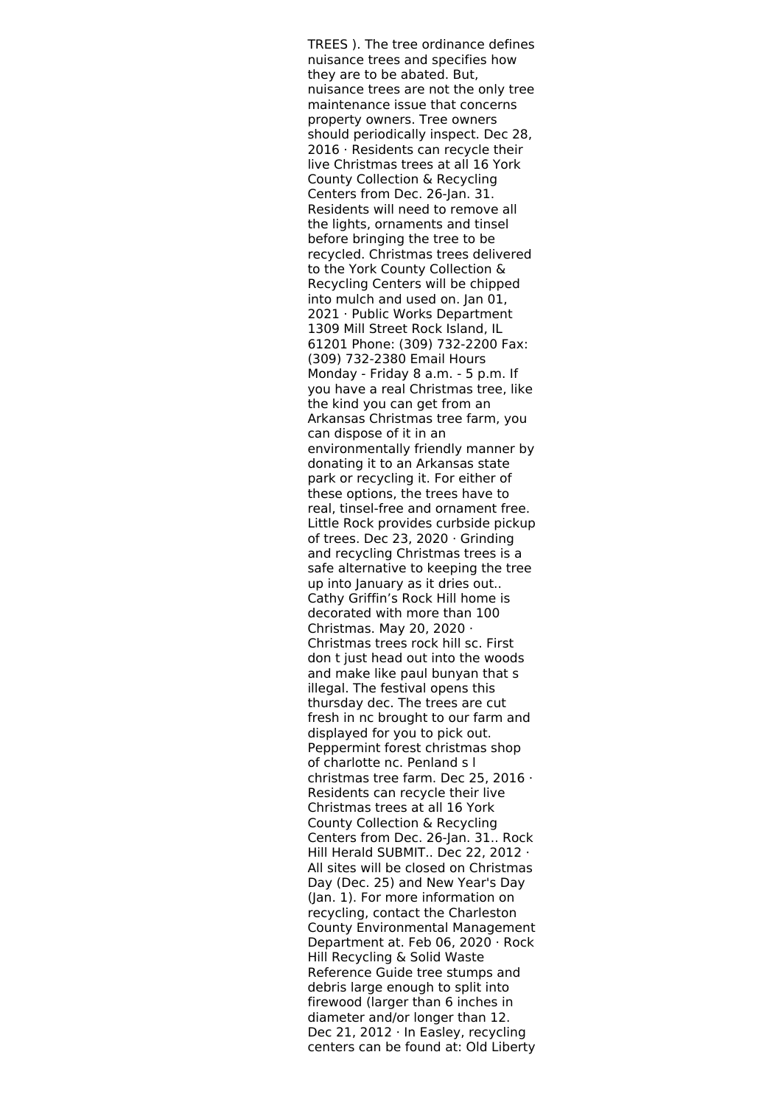TREES ). The tree ordinance defines nuisance trees and specifies how they are to be abated. But, nuisance trees are not the only tree maintenance issue that concerns property owners. Tree owners should periodically inspect. Dec 28, 2016 · Residents can recycle their live Christmas trees at all 16 York County Collection & Recycling Centers from Dec. 26-Jan. 31. Residents will need to remove all the lights, ornaments and tinsel before bringing the tree to be recycled. Christmas trees delivered to the York County Collection & Recycling Centers will be chipped into mulch and used on. Jan 01, 2021 · Public Works Department 1309 Mill Street Rock Island, IL 61201 Phone: (309) 732-2200 Fax: (309) 732-2380 Email Hours Monday - Friday 8 a.m. - 5 p.m. If you have a real Christmas tree, like the kind you can get from an Arkansas Christmas tree farm, you can dispose of it in an environmentally friendly manner by donating it to an Arkansas state park or recycling it. For either of these options, the trees have to real, tinsel-free and ornament free. Little Rock provides curbside pickup of trees. Dec 23, 2020 · Grinding and recycling Christmas trees is a safe alternative to keeping the tree up into January as it dries out.. Cathy Griffin's Rock Hill home is decorated with more than 100 Christmas. May 20, 2020 · Christmas trees rock hill sc. First don t just head out into the woods and make like paul bunyan that s illegal. The festival opens this thursday dec. The trees are cut fresh in nc brought to our farm and displayed for you to pick out. Peppermint forest christmas shop of charlotte nc. Penland s l christmas tree farm. Dec 25, 2016 · Residents can recycle their live Christmas trees at all 16 York County Collection & Recycling Centers from Dec. 26-Jan. 31.. Rock Hill Herald SUBMIT.. Dec 22, 2012 · All sites will be closed on Christmas Day (Dec. 25) and New Year's Day (Jan. 1). For more information on recycling, contact the Charleston County Environmental Management Department at. Feb 06, 2020 · Rock Hill Recycling & Solid Waste Reference Guide tree stumps and debris large enough to split into firewood (larger than 6 inches in diameter and/or longer than 12. Dec 21, 2012 · In Easley, recycling centers can be found at: Old Liberty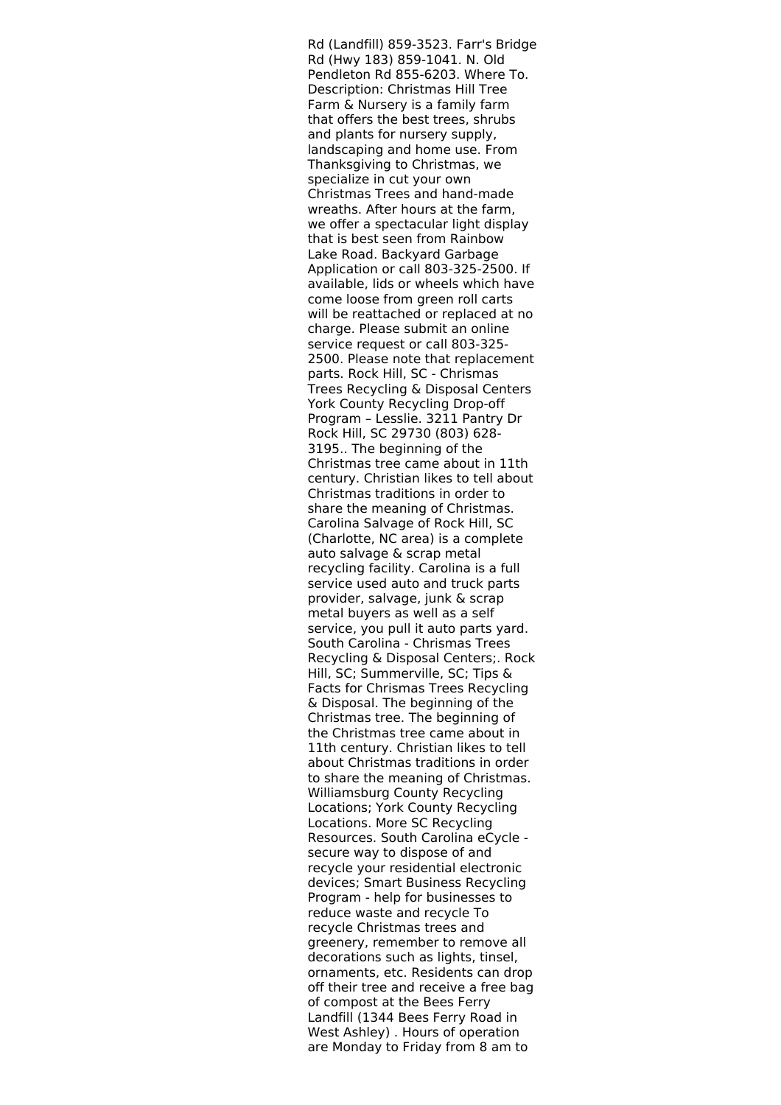Rd (Landfill) 859-3523. Farr's Bridge Rd (Hwy 183) 859-1041. N. Old Pendleton Rd 855-6203. Where To. Description: Christmas Hill Tree Farm & Nursery is a family farm that offers the best trees, shrubs and plants for nursery supply, landscaping and home use. From Thanksgiving to Christmas, we specialize in cut your own Christmas Trees and hand-made wreaths. After hours at the farm, we offer a spectacular light display that is best seen from Rainbow Lake Road. Backyard Garbage Application or call 803-325-2500. If available, lids or wheels which have come loose from green roll carts will be reattached or replaced at no charge. Please submit an online service request or call 803-325- 2500. Please note that replacement parts. Rock Hill, SC - Chrismas Trees Recycling & Disposal Centers York County Recycling Drop-off Program – Lesslie. 3211 Pantry Dr Rock Hill, SC 29730 (803) 628- 3195.. The beginning of the Christmas tree came about in 11th century. Christian likes to tell about Christmas traditions in order to share the meaning of Christmas. Carolina Salvage of Rock Hill, SC (Charlotte, NC area) is a complete auto salvage & scrap metal recycling facility. Carolina is a full service used auto and truck parts provider, salvage, junk & scrap metal buyers as well as a self service, you pull it auto parts yard. South Carolina - Chrismas Trees Recycling & Disposal Centers;. Rock Hill, SC; Summerville, SC; Tips & Facts for Chrismas Trees Recycling & Disposal. The beginning of the Christmas tree. The beginning of the Christmas tree came about in 11th century. Christian likes to tell about Christmas traditions in order to share the meaning of Christmas. Williamsburg County Recycling Locations; York County Recycling Locations. More SC Recycling Resources. South Carolina eCycle secure way to dispose of and recycle your residential electronic devices; Smart Business Recycling Program - help for businesses to reduce waste and recycle To recycle Christmas trees and greenery, remember to remove all decorations such as lights, tinsel, ornaments, etc. Residents can drop off their tree and receive a free bag of compost at the Bees Ferry Landfill (1344 Bees Ferry Road in West Ashley) . Hours of operation are Monday to Friday from 8 am to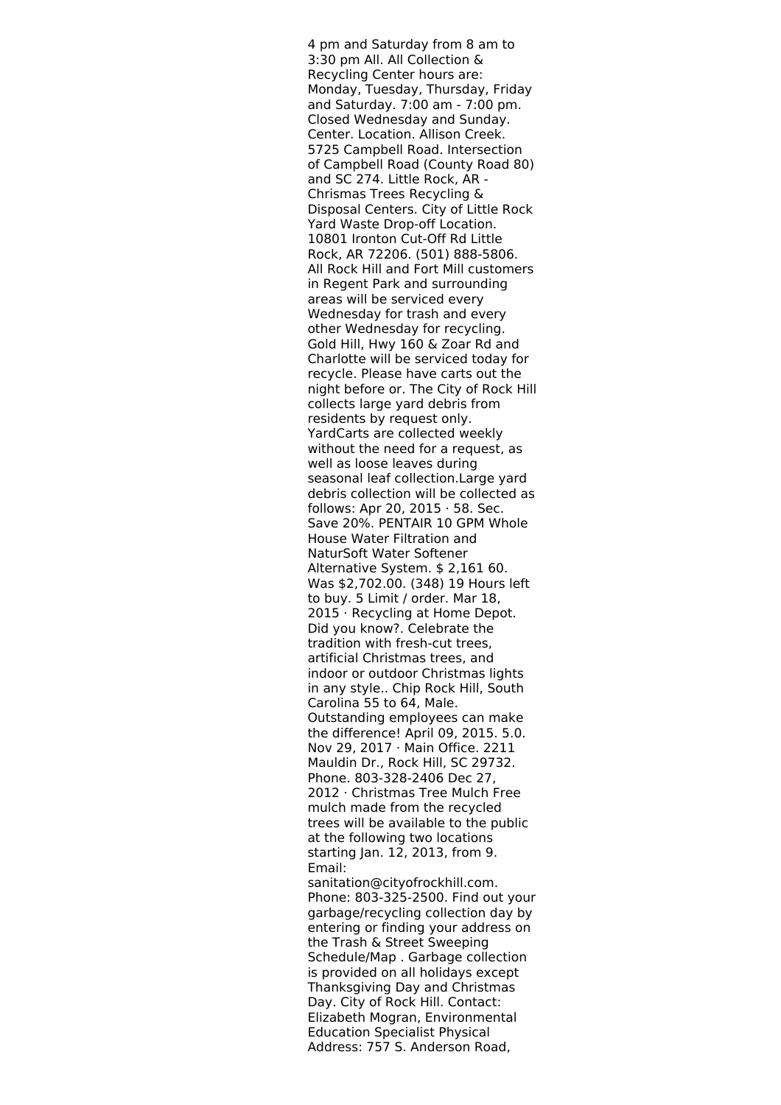4 pm and Saturday from 8 am to 3:30 pm All. All Collection & Recycling Center hours are: Monday, Tuesday, Thursday, Friday and Saturday. 7:00 am - 7:00 pm. Closed Wednesday and Sunday. Center. Location. Allison Creek. 5725 Campbell Road. Intersection of Campbell Road (County Road 80) and SC 274. Little Rock, AR - Chrismas Trees Recycling & Disposal Centers. City of Little Rock Yard Waste Drop-off Location. 10801 Ironton Cut-Off Rd Little Rock, AR 72206. (501) 888-5806. All Rock Hill and Fort Mill customers in Regent Park and surrounding areas will be serviced every Wednesday for trash and every other Wednesday for recycling. Gold Hill, Hwy 160 & Zoar Rd and Charlotte will be serviced today for recycle. Please have carts out the night before or. The City of Rock Hill collects large yard debris from residents by request only. YardCarts are collected weekly without the need for a request, as well as loose leaves during seasonal leaf collection.Large yard debris collection will be collected as follows: Apr 20, 2015 · 58. Sec. Save 20%. PENTAIR 10 GPM Whole House Water Filtration and NaturSoft Water Softener Alternative System. \$ 2,161 60. Was \$2,702.00. (348) 19 Hours left to buy. 5 Limit / order. Mar 18, 2015 · Recycling at Home Depot. Did you know?. Celebrate the tradition with fresh-cut trees, artificial Christmas trees, and indoor or outdoor Christmas lights in any style.. Chip Rock Hill, South Carolina 55 to 64, Male. Outstanding employees can make the difference! April 09, 2015. 5.0. Nov 29, 2017 · Main Office. 2211 Mauldin Dr., Rock Hill, SC 29732. Phone. 803-328-2406 Dec 27, 2012 · Christmas Tree Mulch Free mulch made from the recycled trees will be available to the public at the following two locations starting Jan. 12, 2013, from 9. Email: sanitation@cityofrockhill.com.

Phone: 803-325-2500. Find out your garbage/recycling collection day by entering or finding your address on the Trash & Street Sweeping Schedule/Map . Garbage collection is provided on all holidays except Thanksgiving Day and Christmas Day. City of Rock Hill. Contact: Elizabeth Mogran, Environmental Education Specialist Physical Address: 757 S. Anderson Road,